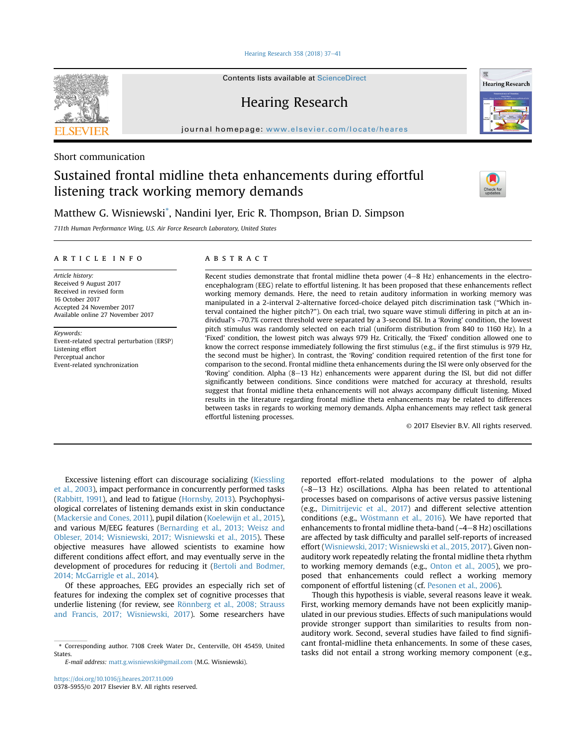Hearing Research 358 (2018) 37-41

Contents lists available at ScienceDirect

Hearing Research

journal homepage: www.elsevier.com/locate/heares

## Short communication

# Sustained frontal midline theta enhancements during effortful listening track working memory demands



711th Human Performance Wing, U.S. Air Force Research Laboratory, United States

## article info

Article history: Received 9 August 2017 Received in revised form 16 October 2017 Accepted 24 November 2017 Available online 27 November 2017

Keywords: Event-related spectral perturbation (ERSP) Listening effort Perceptual anchor Event-related synchronization

## ABSTRACT

Recent studies demonstrate that frontal midline theta power  $(4-8 \text{ Hz})$  enhancements in the electroencephalogram (EEG) relate to effortful listening. It has been proposed that these enhancements reflect working memory demands. Here, the need to retain auditory information in working memory was manipulated in a 2-interval 2-alternative forced-choice delayed pitch discrimination task ("Which interval contained the higher pitch?"). On each trial, two square wave stimuli differing in pitch at an individual's ~70.7% correct threshold were separated by a 3-second ISI. In a 'Roving' condition, the lowest pitch stimulus was randomly selected on each trial (uniform distribution from 840 to 1160 Hz). In a 'Fixed' condition, the lowest pitch was always 979 Hz. Critically, the 'Fixed' condition allowed one to know the correct response immediately following the first stimulus (e.g., if the first stimulus is 979 Hz, the second must be higher). In contrast, the 'Roving' condition required retention of the first tone for comparison to the second. Frontal midline theta enhancements during the ISI were only observed for the 'Roving' condition. Alpha  $(8-13$  Hz) enhancements were apparent during the ISI, but did not differ significantly between conditions. Since conditions were matched for accuracy at threshold, results suggest that frontal midline theta enhancements will not always accompany difficult listening. Mixed results in the literature regarding frontal midline theta enhancements may be related to differences between tasks in regards to working memory demands. Alpha enhancements may reflect task general effortful listening processes.

© 2017 Elsevier B.V. All rights reserved.

Excessive listening effort can discourage socializing (Kiessling et al., 2003), impact performance in concurrently performed tasks (Rabbitt, 1991), and lead to fatigue (Hornsby, 2013). Psychophysiological correlates of listening demands exist in skin conductance (Mackersie and Cones, 2011), pupil dilation (Koelewijn et al., 2015), and various M/EEG features (Bernarding et al., 2013; Weisz and Obleser, 2014; Wisniewski, 2017; Wisniewski et al., 2015). These objective measures have allowed scientists to examine how different conditions affect effort, and may eventually serve in the development of procedures for reducing it (Bertoli and Bodmer, 2014; McGarrigle et al., 2014).

Of these approaches, EEG provides an especially rich set of features for indexing the complex set of cognitive processes that underlie listening (for review, see Rönnberg et al., 2008; Strauss and Francis, 2017; Wisniewski, 2017). Some researchers have

E-mail address: matt.g.wisniewski@gmail.com (M.G. Wisniewski).

component of effortful listening (cf. Pesonen et al., 2006). Though this hypothesis is viable, several reasons leave it weak. First, working memory demands have not been explicitly manipulated in our previous studies. Effects of such manipulations would provide stronger support than similarities to results from nonauditory work. Second, several studies have failed to find significant frontal-midline theta enhancements. In some of these cases, tant Irontal-midline theta enhancements. In some of these cases,<br>tasks did not entail a strong working memory component (e.g., tasks did not entail a strong working memory component (e.g.,

reported effort-related modulations to the power of alpha  $(-8-13$  Hz) oscillations. Alpha has been related to attentional processes based on comparisons of active versus passive listening (e.g., Dimitrijevic et al., 2017) and different selective attention conditions (e.g., Wöstmann et al., 2016). We have reported that enhancements to frontal midline theta-band  $(-4-8$  Hz) oscillations are affected by task difficulty and parallel self-reports of increased effort (Wisniewski, 2017; Wisniewski et al., 2015, 2017). Given nonauditory work repeatedly relating the frontal midline theta rhythm to working memory demands (e.g., Onton et al., 2005), we proposed that enhancements could reflect a working memory







States.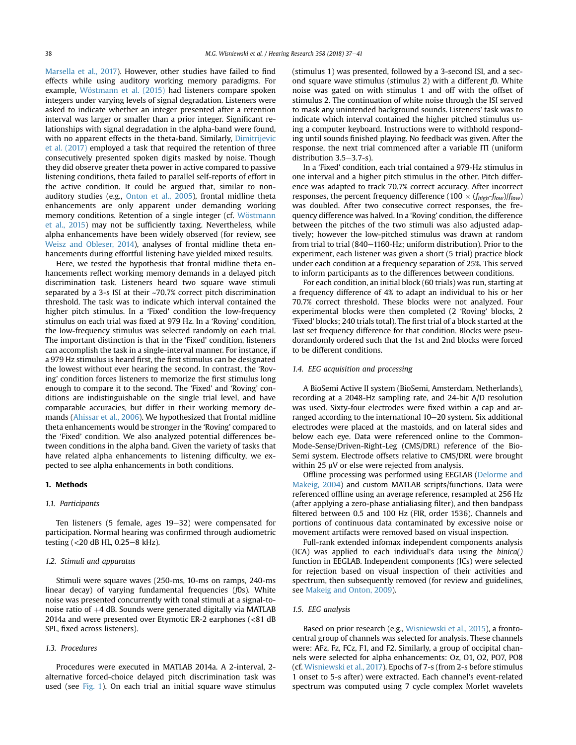Marsella et al., 2017). However, other studies have failed to find effects while using auditory working memory paradigms. For example, Wöstmann et al. (2015) had listeners compare spoken integers under varying levels of signal degradation. Listeners were asked to indicate whether an integer presented after a retention interval was larger or smaller than a prior integer. Significant relationships with signal degradation in the alpha-band were found, with no apparent effects in the theta-band. Similarly, Dimitrijevic et al. (2017) employed a task that required the retention of three consecutively presented spoken digits masked by noise. Though they did observe greater theta power in active compared to passive listening conditions, theta failed to parallel self-reports of effort in the active condition. It could be argued that, similar to nonauditory studies (e.g., Onton et al., 2005), frontal midline theta enhancements are only apparent under demanding working memory conditions. Retention of a single integer (cf. Wöstmann et al., 2015) may not be sufficiently taxing. Nevertheless, while alpha enhancements have been widely observed (for review, see Weisz and Obleser, 2014), analyses of frontal midline theta enhancements during effortful listening have yielded mixed results.

Here, we tested the hypothesis that frontal midline theta enhancements reflect working memory demands in a delayed pitch discrimination task. Listeners heard two square wave stimuli separated by a 3-s ISI at their ~70.7% correct pitch discrimination threshold. The task was to indicate which interval contained the higher pitch stimulus. In a 'Fixed' condition the low-frequency stimulus on each trial was fixed at 979 Hz. In a 'Roving' condition, the low-frequency stimulus was selected randomly on each trial. The important distinction is that in the 'Fixed' condition, listeners can accomplish the task in a single-interval manner. For instance, if a 979 Hz stimulus is heard first, the first stimulus can be designated the lowest without ever hearing the second. In contrast, the 'Roving' condition forces listeners to memorize the first stimulus long enough to compare it to the second. The 'Fixed' and 'Roving' conditions are indistinguishable on the single trial level, and have comparable accuracies, but differ in their working memory demands (Ahissar et al., 2006). We hypothesized that frontal midline theta enhancements would be stronger in the 'Roving' compared to the 'Fixed' condition. We also analyzed potential differences between conditions in the alpha band. Given the variety of tasks that have related alpha enhancements to listening difficulty, we expected to see alpha enhancements in both conditions.

## 1. Methods

#### 1.1. Participants

Ten listeners (5 female, ages  $19-32$ ) were compensated for participation. Normal hearing was confirmed through audiometric testing  $(<$  20 dB HL, 0.25 $-8$  kHz).

## 1.2. Stimuli and apparatus

Stimuli were square waves (250-ms, 10-ms on ramps, 240-ms linear decay) of varying fundamental frequencies (f0s). White noise was presented concurrently with tonal stimuli at a signal-tonoise ratio of  $+4$  dB. Sounds were generated digitally via MATLAB 2014a and were presented over Etymotic ER-2 earphones (<81 dB SPL, fixed across listeners).

## 1.3. Procedures

Procedures were executed in MATLAB 2014a. A 2-interval, 2 alternative forced-choice delayed pitch discrimination task was used (see Fig. 1). On each trial an initial square wave stimulus (stimulus 1) was presented, followed by a 3-second ISI, and a second square wave stimulus (stimulus 2) with a different f0. White noise was gated on with stimulus 1 and off with the offset of stimulus 2. The continuation of white noise through the ISI served to mask any unintended background sounds. Listeners' task was to indicate which interval contained the higher pitched stimulus using a computer keyboard. Instructions were to withhold responding until sounds finished playing. No feedback was given. After the response, the next trial commenced after a variable ITI (uniform distribution  $3.5-3.7-s$ ).

In a 'Fixed' condition, each trial contained a 979-Hz stimulus in one interval and a higher pitch stimulus in the other. Pitch difference was adapted to track 70.7% correct accuracy. After incorrect responses, the percent frequency difference (100  $\times$  ( $f_{high}$ - $f_{low}$ )) $f_{low}$ ) was doubled. After two consecutive correct responses, the frequency difference was halved. In a 'Roving' condition, the difference between the pitches of the two stimuli was also adjusted adaptively; however the low-pitched stimulus was drawn at random from trial to trial (840-1160-Hz; uniform distribution). Prior to the experiment, each listener was given a short (5 trial) practice block under each condition at a frequency separation of 25%. This served to inform participants as to the differences between conditions.

For each condition, an initial block (60 trials) was run, starting at a frequency difference of 4% to adapt an individual to his or her 70.7% correct threshold. These blocks were not analyzed. Four experimental blocks were then completed (2 'Roving' blocks, 2 'Fixed' blocks; 240 trials total). The first trial of a block started at the last set frequency difference for that condition. Blocks were pseudorandomly ordered such that the 1st and 2nd blocks were forced to be different conditions.

#### 1.4. EEG acquisition and processing

A BioSemi Active II system (BioSemi, Amsterdam, Netherlands), recording at a 2048-Hz sampling rate, and 24-bit A/D resolution was used. Sixty-four electrodes were fixed within a cap and arranged according to the international  $10-20$  system. Six additional electrodes were placed at the mastoids, and on lateral sides and below each eye. Data were referenced online to the Common-Mode-Sense/Driven-Right-Leg (CMS/DRL) reference of the Bio-Semi system. Electrode offsets relative to CMS/DRL were brought within 25  $\mu$ V or else were rejected from analysis.

Offline processing was performed using EEGLAB (Delorme and Makeig, 2004) and custom MATLAB scripts/functions. Data were referenced offline using an average reference, resampled at 256 Hz (after applying a zero-phase antialiasing filter), and then bandpass filtered between 0.5 and 100 Hz (FIR, order 1536). Channels and portions of continuous data contaminated by excessive noise or movement artifacts were removed based on visual inspection.

Full-rank extended infomax independent components analysis (ICA) was applied to each individual's data using the binica() function in EEGLAB. Independent components (ICs) were selected for rejection based on visual inspection of their activities and spectrum, then subsequently removed (for review and guidelines, see Makeig and Onton, 2009).

## 1.5. EEG analysis

Based on prior research (e.g., Wisniewski et al., 2015), a frontocentral group of channels was selected for analysis. These channels were: AFz, Fz, FCz, F1, and F2. Similarly, a group of occipital channels were selected for alpha enhancements: Oz, O1, O2, PO7, PO8 (cf. Wisniewski et al., 2017). Epochs of 7-s (from 2-s before stimulus 1 onset to 5-s after) were extracted. Each channel's event-related spectrum was computed using 7 cycle complex Morlet wavelets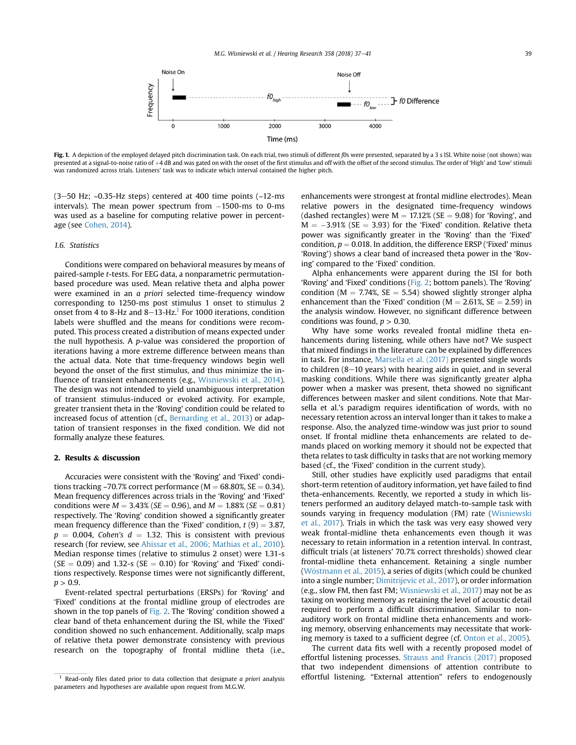

Fig. 1. A depiction of the employed delayed pitch discrimination task. On each trial, two stimuli of different f0s were presented, separated by a 3 s ISI. White noise (not shown) was presented at a signal-to-noise ratio of +4 dB and was gated on with the onset of the first stimulus and off with the offset of the second stimulus. The order of 'High' and 'Low' stimuli was randomized across trials. Listeners' task was to indicate which interval contained the higher pitch.

 $(3-50$  Hz;  $\sim 0.35$ -Hz steps) centered at 400 time points ( $\sim 12$ -ms intervals). The mean power spectrum from  $-1500$ -ms to 0-ms was used as a baseline for computing relative power in percentage (see Cohen, 2014).

## 1.6. Statistics

Conditions were compared on behavioral measures by means of paired-sample t-tests. For EEG data, a nonparametric permutationbased procedure was used. Mean relative theta and alpha power were examined in an a priori selected time-frequency window corresponding to 1250-ms post stimulus 1 onset to stimulus 2 onset from 4 to 8-Hz and  $8-13-Hz$ .<sup>1</sup> For 1000 iterations, condition labels were shuffled and the means for conditions were recomputed. This process created a distribution of means expected under the null hypothesis. A p-value was considered the proportion of iterations having a more extreme difference between means than the actual data. Note that time-frequency windows begin well beyond the onset of the first stimulus, and thus minimize the influence of transient enhancements (e.g., Wisniewski et al., 2014). The design was not intended to yield unambiguous interpretation of transient stimulus-induced or evoked activity. For example, greater transient theta in the 'Roving' condition could be related to increased focus of attention (cf., Bernarding et al., 2013) or adaptation of transient responses in the fixed condition. We did not formally analyze these features.

#### 2. Results & discussion

Accuracies were consistent with the 'Roving' and 'Fixed' conditions tracking ~70.7% correct performance ( $M = 68.80\%$ , SE  $= 0.34$ ). Mean frequency differences across trials in the 'Roving' and 'Fixed' conditions were  $M = 3.43\%$  (SE = 0.96), and  $M = 1.88\%$  (SE = 0.81) respectively. The 'Roving' condition showed a significantly greater mean frequency difference than the 'Fixed' condition,  $t(9) = 3.87$ ,  $p = 0.004$ , Cohen's  $d = 1.32$ . This is consistent with previous research (for review, see Ahissar et al., 2006; Mathias et al., 2010). Median response times (relative to stimulus 2 onset) were 1.31-s  $(SE = 0.09)$  and 1.32-s  $(SE = 0.10)$  for 'Roving' and 'Fixed' conditions respectively. Response times were not significantly different,  $p > 0.9$ .

Event-related spectral perturbations (ERSPs) for 'Roving' and 'Fixed' conditions at the frontal midline group of electrodes are shown in the top panels of Fig. 2. The 'Roving' condition showed a clear band of theta enhancement during the ISI, while the 'Fixed' condition showed no such enhancement. Additionally, scalp maps of relative theta power demonstrate consistency with previous research on the topography of frontal midline theta (i.e., enhancements were strongest at frontal midline electrodes). Mean relative powers in the designated time-frequency windows (dashed rectangles) were  $M = 17.12%$  (SE  $= 9.08$ ) for 'Roving', and  $M = -3.91\%$  (SE = 3.93) for the 'Fixed' condition. Relative theta power was significantly greater in the 'Roving' than the 'Fixed' condition,  $p = 0.018$ . In addition, the difference ERSP ('Fixed' minus 'Roving') shows a clear band of increased theta power in the 'Roving' compared to the 'Fixed' condition.

Alpha enhancements were apparent during the ISI for both 'Roving' and 'Fixed' conditions (Fig. 2; bottom panels). The 'Roving' condition ( $M = 7.74\%$ , SE = 5.54) showed slightly stronger alpha enhancement than the 'Fixed' condition ( $M = 2.61\%$ ,  $SE = 2.59$ ) in the analysis window. However, no significant difference between conditions was found,  $p > 0.30$ .

Why have some works revealed frontal midline theta enhancements during listening, while others have not? We suspect that mixed findings in the literature can be explained by differences in task. For instance, Marsella et al. (2017) presented single words to children  $(8-10 \text{ years})$  with hearing aids in quiet, and in several masking conditions. While there was significantly greater alpha power when a masker was present, theta showed no significant differences between masker and silent conditions. Note that Marsella et al.'s paradigm requires identification of words, with no necessary retention across an interval longer than it takes to make a response. Also, the analyzed time-window was just prior to sound onset. If frontal midline theta enhancements are related to demands placed on working memory it should not be expected that theta relates to task difficulty in tasks that are not working memory based (cf., the 'Fixed' condition in the current study).

Still, other studies have explicitly used paradigms that entail short-term retention of auditory information, yet have failed to find theta-enhancements. Recently, we reported a study in which listeners performed an auditory delayed match-to-sample task with sounds varying in frequency modulation (FM) rate (Wisniewski et al., 2017). Trials in which the task was very easy showed very weak frontal-midline theta enhancements even though it was necessary to retain information in a retention interval. In contrast, difficult trials (at listeners' 70.7% correct thresholds) showed clear frontal-midline theta enhancement. Retaining a single number (Wöstmann et al., 2015), a series of digits (which could be chunked into a single number; Dimitrijevic et al., 2017), or order information (e.g., slow FM, then fast FM; Wisniewski et al., 2017) may not be as taxing on working memory as retaining the level of acoustic detail required to perform a difficult discrimination. Similar to nonauditory work on frontal midline theta enhancements and working memory, observing enhancements may necessitate that working memory is taxed to a sufficient degree (cf. Onton et al., 2005).

The current data fits well with a recently proposed model of effortful listening processes. Strauss and Francis (2017) proposed that two independent dimensions of attention contribute to effortful listening. "External attention" refers to endogenously

 $1$  Read-only files dated prior to data collection that designate  $a$  priori analysis parameters and hypotheses are available upon request from M.G.W.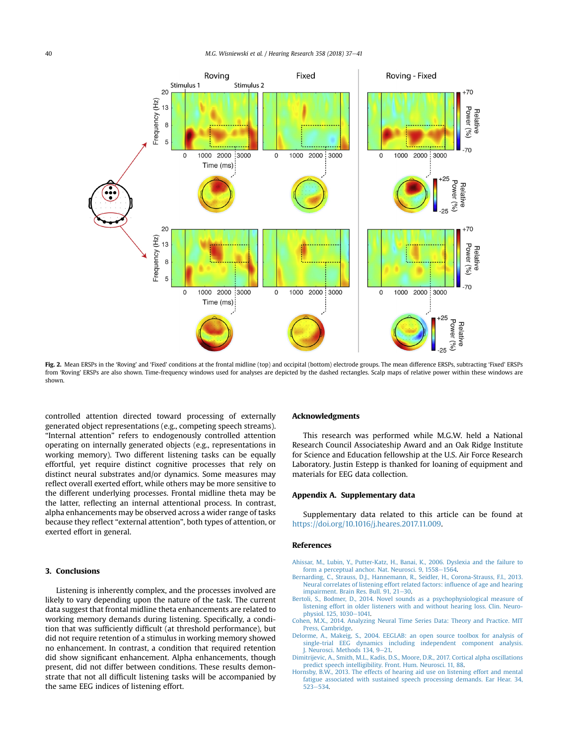

Fig. 2. Mean ERSPs in the 'Roving' and 'Fixed' conditions at the frontal midline (top) and occipital (bottom) electrode groups. The mean difference ERSPs, subtracting 'Fixed' ERSPs from 'Roving' ERSPs are also shown. Time-frequency windows used for analyses are depicted by the dashed rectangles. Scalp maps of relative power within these windows are shown.

controlled attention directed toward processing of externally generated object representations (e.g., competing speech streams). "Internal attention" refers to endogenously controlled attention operating on internally generated objects (e.g., representations in working memory). Two different listening tasks can be equally effortful, yet require distinct cognitive processes that rely on distinct neural substrates and/or dynamics. Some measures may reflect overall exerted effort, while others may be more sensitive to the different underlying processes. Frontal midline theta may be the latter, reflecting an internal attentional process. In contrast, alpha enhancements may be observed across a wider range of tasks because they reflect "external attention", both types of attention, or exerted effort in general.

## 3. Conclusions

Listening is inherently complex, and the processes involved are likely to vary depending upon the nature of the task. The current data suggest that frontal midline theta enhancements are related to working memory demands during listening. Specifically, a condition that was sufficiently difficult (at threshold performance), but did not require retention of a stimulus in working memory showed no enhancement. In contrast, a condition that required retention did show significant enhancement. Alpha enhancements, though present, did not differ between conditions. These results demonstrate that not all difficult listening tasks will be accompanied by the same EEG indices of listening effort.

#### Acknowledgments

This research was performed while M.G.W. held a National Research Council Associateship Award and an Oak Ridge Institute for Science and Education fellowship at the U.S. Air Force Research Laboratory. Justin Estepp is thanked for loaning of equipment and materials for EEG data collection.

## Appendix A. Supplementary data

Supplementary data related to this article can be found at https://doi.org/10.1016/j.heares.2017.11.009.

#### References

- Ahissar, M., Lubin, Y., Putter-Katz, H., Banai, K., 2006. Dyslexia and the failure to form a perceptual anchor. Nat. Neurosci. 9, 1558-1564.
- Bernarding, C., Strauss, D.J., Hannemann, R., Seidler, H., Corona-Strauss, F.I., 2013. Neural correlates of listening effort related factors: influence of age and hearing impairment. Brain Res. Bull. 91, 21-30.
- Bertoli, S., Bodmer, D., 2014. Novel sounds as a psychophysiological measure of listening effort in older listeners with and without hearing loss. Clin. Neurophysiol. 125, 1030-1041.
- Cohen, M.X., 2014. Analyzing Neural Time Series Data: Theory and Practice. MIT Press, Cambridge.
- Delorme, A., Makeig, S., 2004. EEGLAB: an open source toolbox for analysis of single-trial EEG dynamics including independent component analysis. I. Neurosci. Methods 134, 9-21.
- Dimitrijevic, A., Smith, M.L., Kadis, D.S., Moore, D.R., 2017. Cortical alpha oscillations predict speech intelligibility. Front. Hum. Neurosci. 11, 88.
- Hornsby, B.W., 2013. The effects of hearing aid use on listening effort and mental fatigue associated with sustained speech processing demands. Ear Hear. 34,  $523 - 534.$